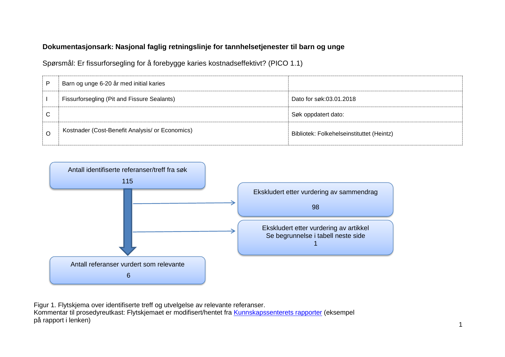# **Dokumentasjonsark: Nasjonal faglig retningslinje for tannhelsetjenester til barn og unge**

Spørsmål: Er fissurforsegling for å forebygge karies kostnadseffektivt? (PICO 1.1)

| P | Barn og unge 6-20 år med initial karies         |                                           |
|---|-------------------------------------------------|-------------------------------------------|
|   | Fissurforsegling (Pit and Fissure Sealants)     | Dato for søk:03.01.2018                   |
| С |                                                 | Søk oppdatert dato:                       |
| O | Kostnader (Cost-Benefit Analysis/ or Economics) | Bibliotek: Folkehelseinstituttet (Heintz) |



Figur 1. Flytskjema over identifiserte treff og utvelgelse av relevante referanser. Kommentar til prosedyreutkast: Flytskjemaet er modifisert/hentet fra [Kunnskapssenterets rapporter](http://www.kunnskapssenteret.no/Publikasjoner/Depresjonsscreening+av+gravide+og+barselkvinner.17323.cms) (eksempel på rapport i lenken)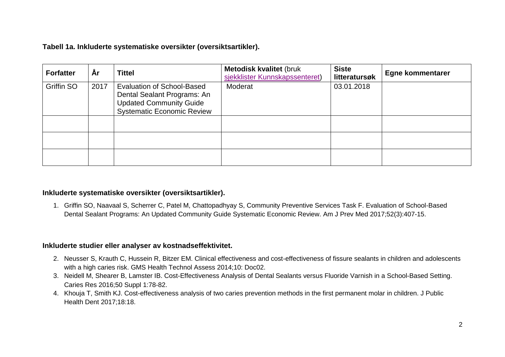## **Tabell 1a. Inkluderte systematiske oversikter (oversiktsartikler).**

| <b>Forfatter</b> | Àr   | <b>Tittel</b>                                                                                                                           | <b>Metodisk kvalitet (bruk</b><br>sjekklister Kunnskapssenteret) | <b>Siste</b><br>litteratursøk | <b>Egne kommentarer</b> |
|------------------|------|-----------------------------------------------------------------------------------------------------------------------------------------|------------------------------------------------------------------|-------------------------------|-------------------------|
| Griffin SO       | 2017 | <b>Evaluation of School-Based</b><br>Dental Sealant Programs: An<br><b>Updated Community Guide</b><br><b>Systematic Economic Review</b> | Moderat                                                          | 03.01.2018                    |                         |
|                  |      |                                                                                                                                         |                                                                  |                               |                         |
|                  |      |                                                                                                                                         |                                                                  |                               |                         |
|                  |      |                                                                                                                                         |                                                                  |                               |                         |

#### **Inkluderte systematiske oversikter (oversiktsartikler).**

1. Griffin SO, Naavaal S, Scherrer C, Patel M, Chattopadhyay S, Community Preventive Services Task F. Evaluation of School-Based Dental Sealant Programs: An Updated Community Guide Systematic Economic Review. Am J Prev Med 2017;52(3):407-15.

#### **Inkluderte studier eller analyser av kostnadseffektivitet.**

- 2. Neusser S, Krauth C, Hussein R, Bitzer EM. Clinical effectiveness and cost-effectiveness of fissure sealants in children and adolescents with a high caries risk. GMS Health Technol Assess 2014;10: Doc02.
- 3. Neidell M, Shearer B, Lamster IB. Cost-Effectiveness Analysis of Dental Sealants versus Fluoride Varnish in a School-Based Setting. Caries Res 2016;50 Suppl 1:78-82.
- 4. Khouja T, Smith KJ. Cost-effectiveness analysis of two caries prevention methods in the first permanent molar in children. J Public Health Dent 2017;18:18.